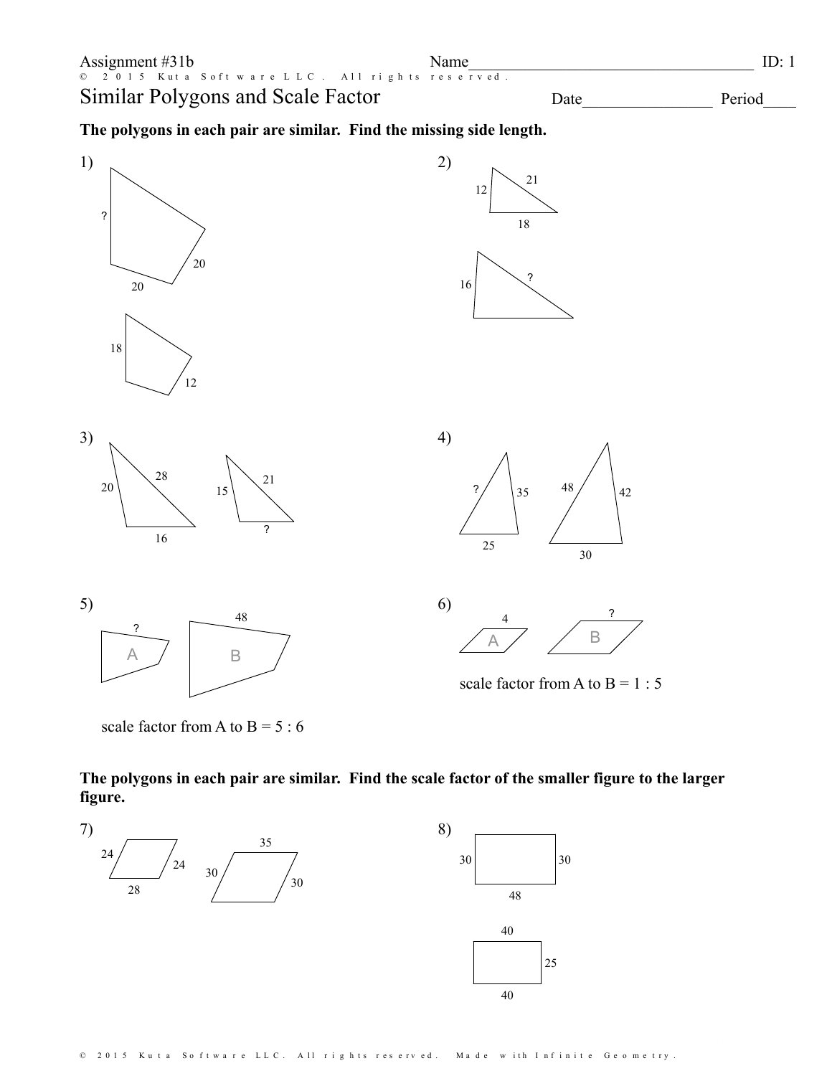











scale factor from A to  $B = 1 : 5$ 

scale factor from A to  $B = 5 : 6$ 

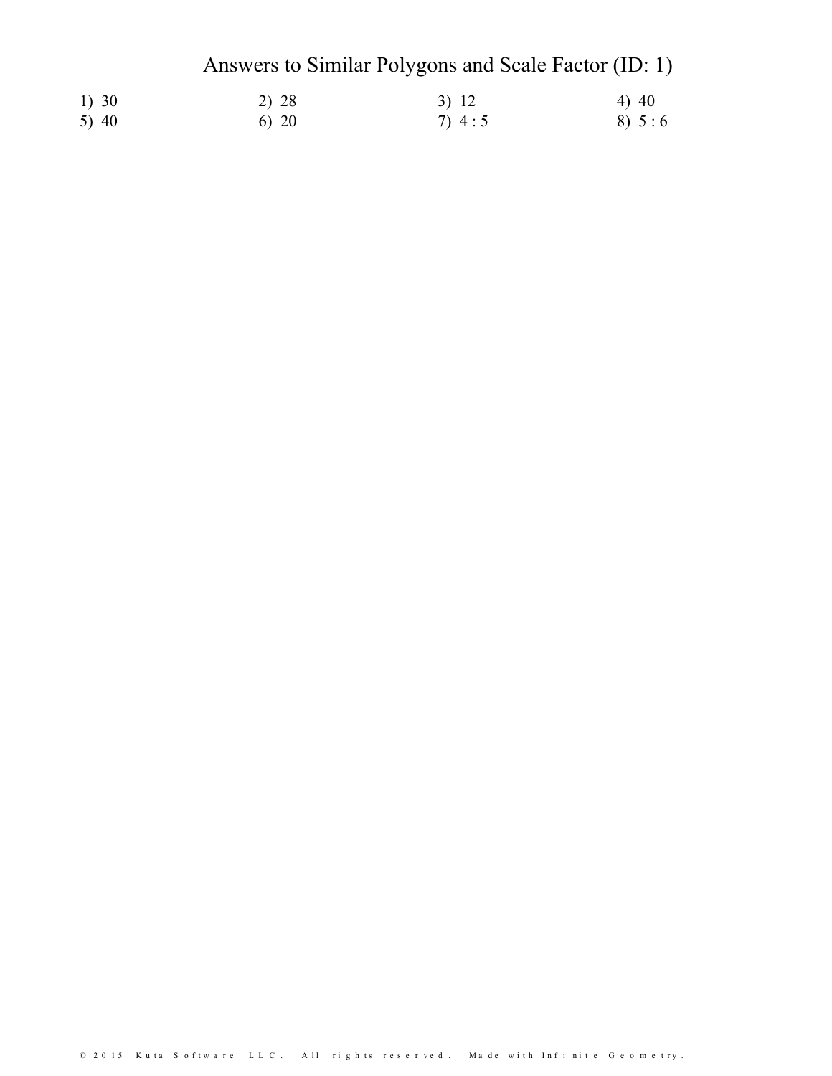# Answers to Similar Polygons and Scale Factor (ID: 1)

| 1) 30   | 2) 28 | 3) 12 | $4)$ 40 |
|---------|-------|-------|---------|
| 5) $40$ | 6) 20 | 7)4:5 | 8) 5:6  |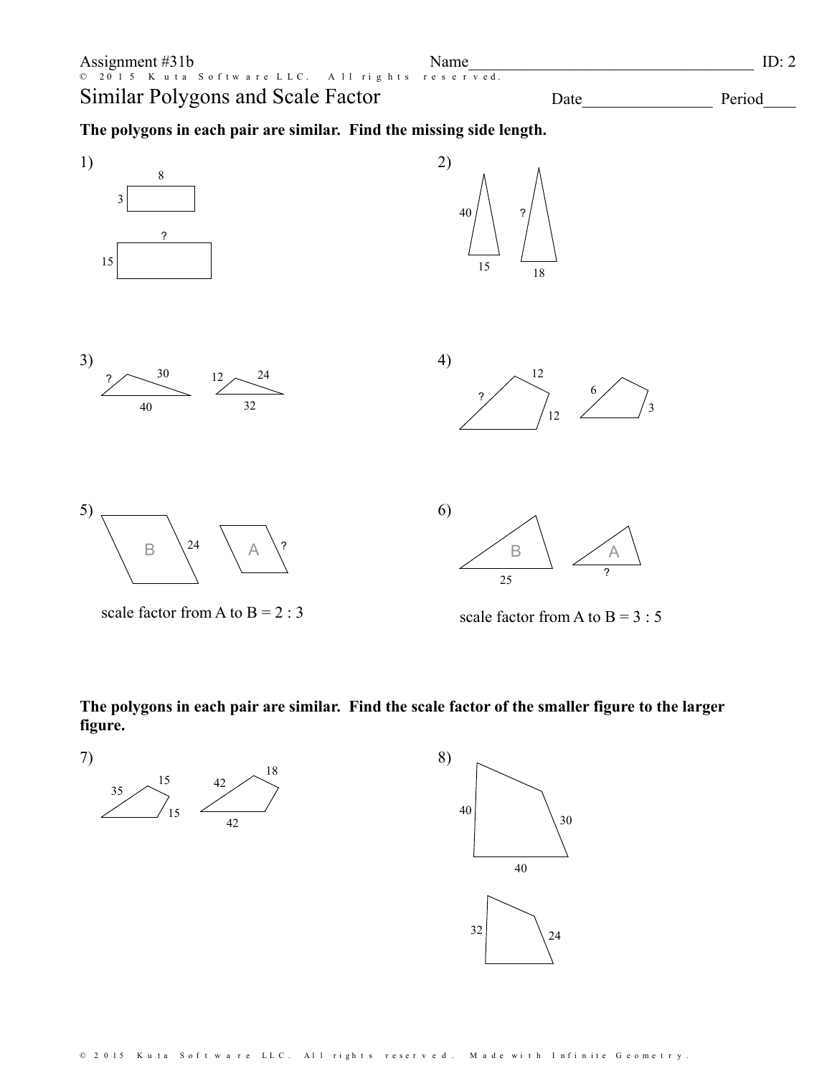

scale factor from A to  $B = 2 : 3$ 

scale factor from A to  $B = 3 : 5$ 

**The polygons in each pair are similar. Find the scale factor of the smaller figure to the larger figure.**

7)

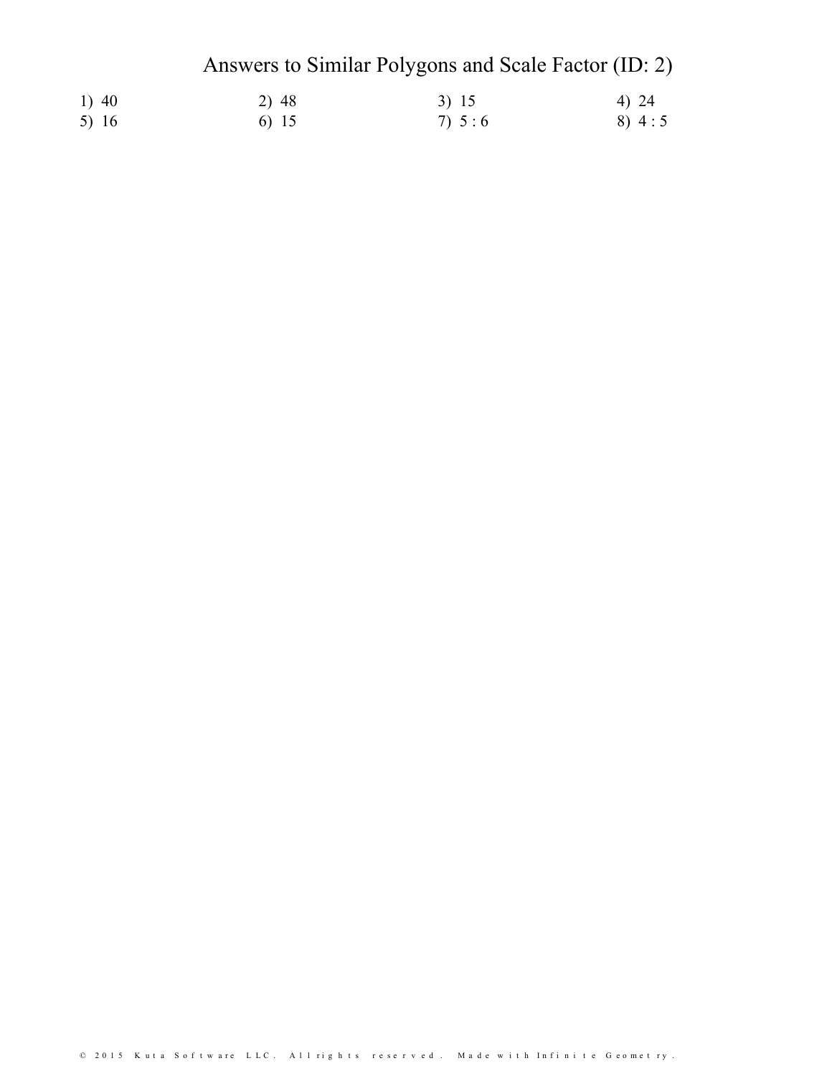# Answers to Similar Polygons and Scale Factor (ID: 2)

| 1) 40   | 2) 48 | 3) 15    | 4) 24    |
|---------|-------|----------|----------|
| 5) $16$ | 6) 15 | 7) $5:6$ | 8) $4:5$ |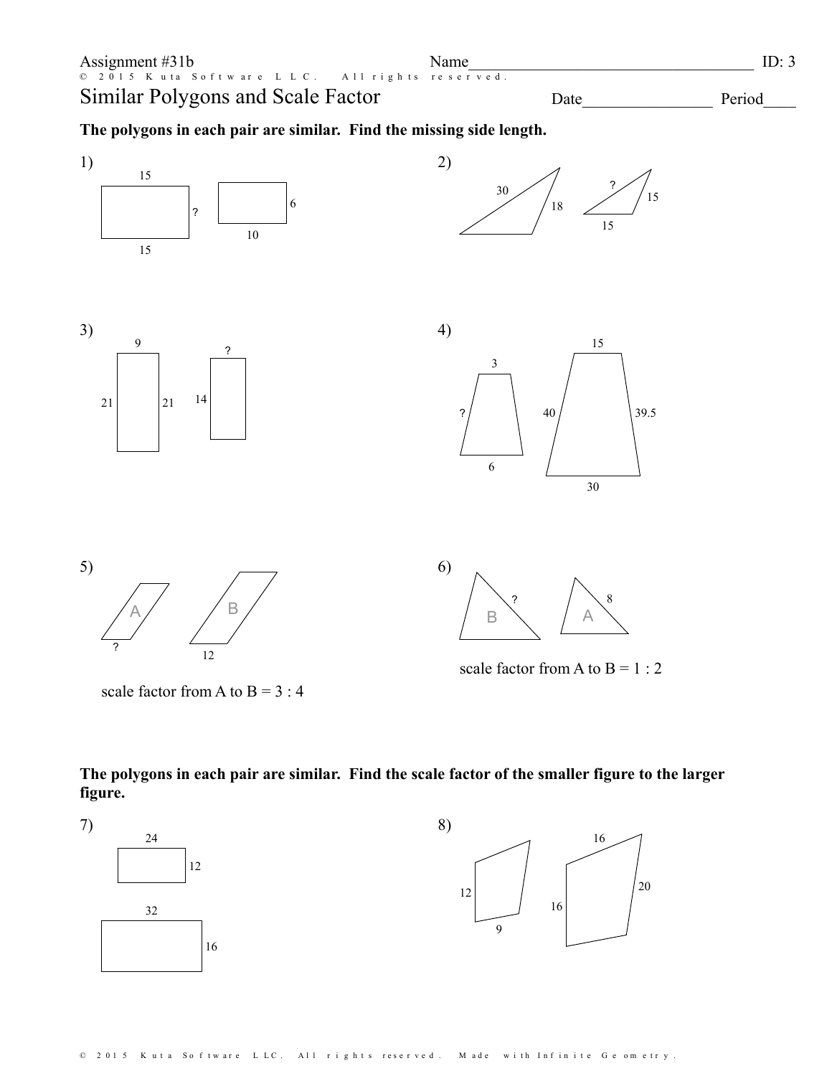



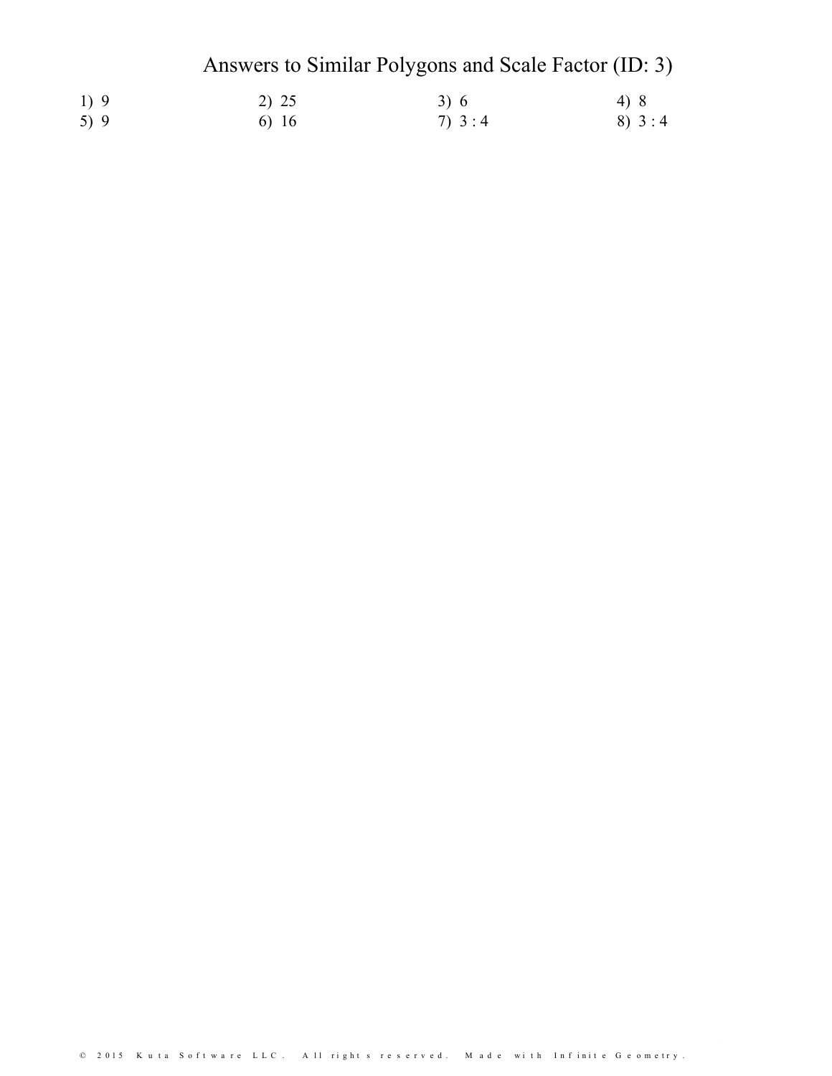# Answers to Similar Polygons and Scale Factor (ID: 3)

| 1)9 | 2) 25 | 3)6      | 4) 8     |
|-----|-------|----------|----------|
| 5)9 | 6) 16 | 7) $3:4$ | 8) $3:4$ |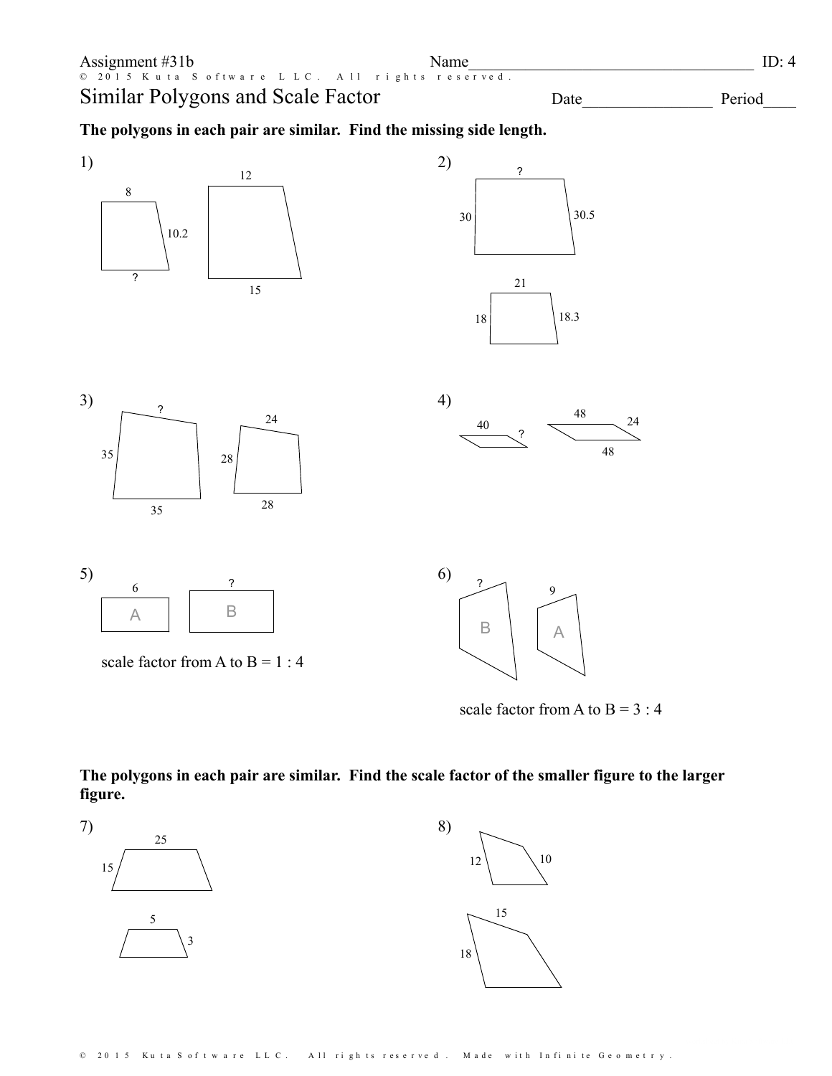



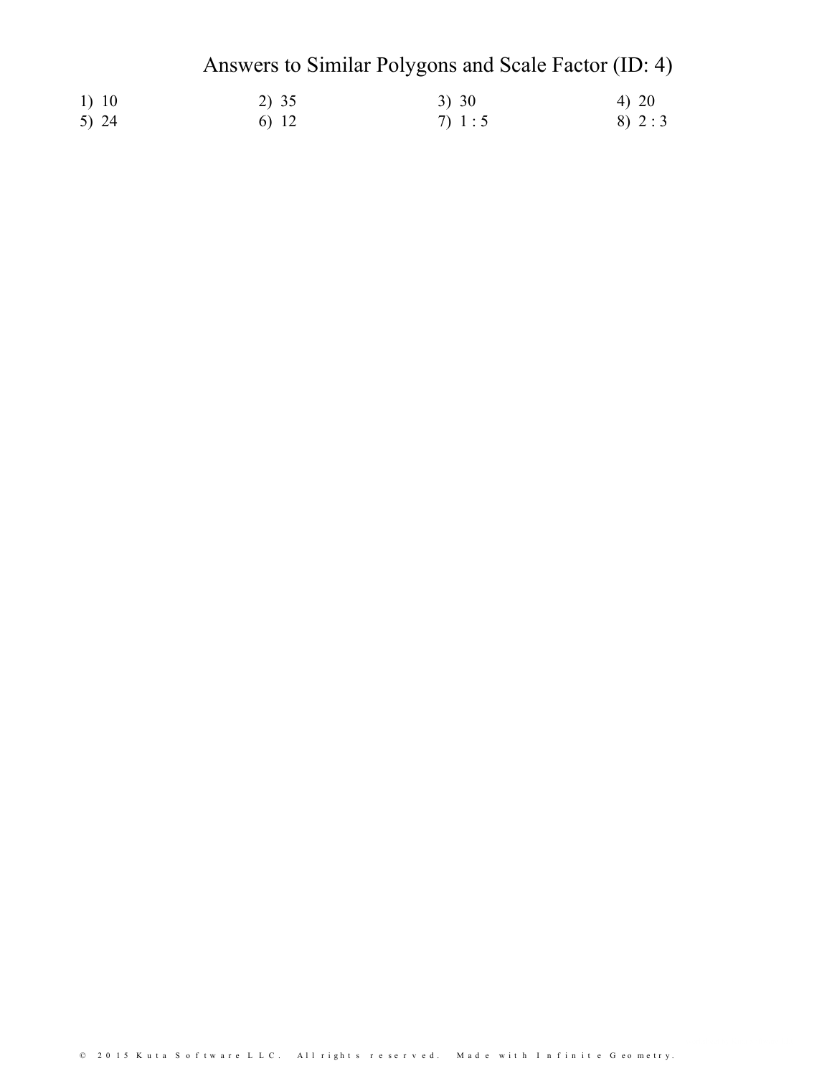# Answers to Similar Polygons and Scale Factor (ID: 4)

| 1) 10   | 2) 35 | 3) 30    | 4) 20  |
|---------|-------|----------|--------|
| 5) $24$ | 6) 12 | 7) $1:5$ | 8) 2:3 |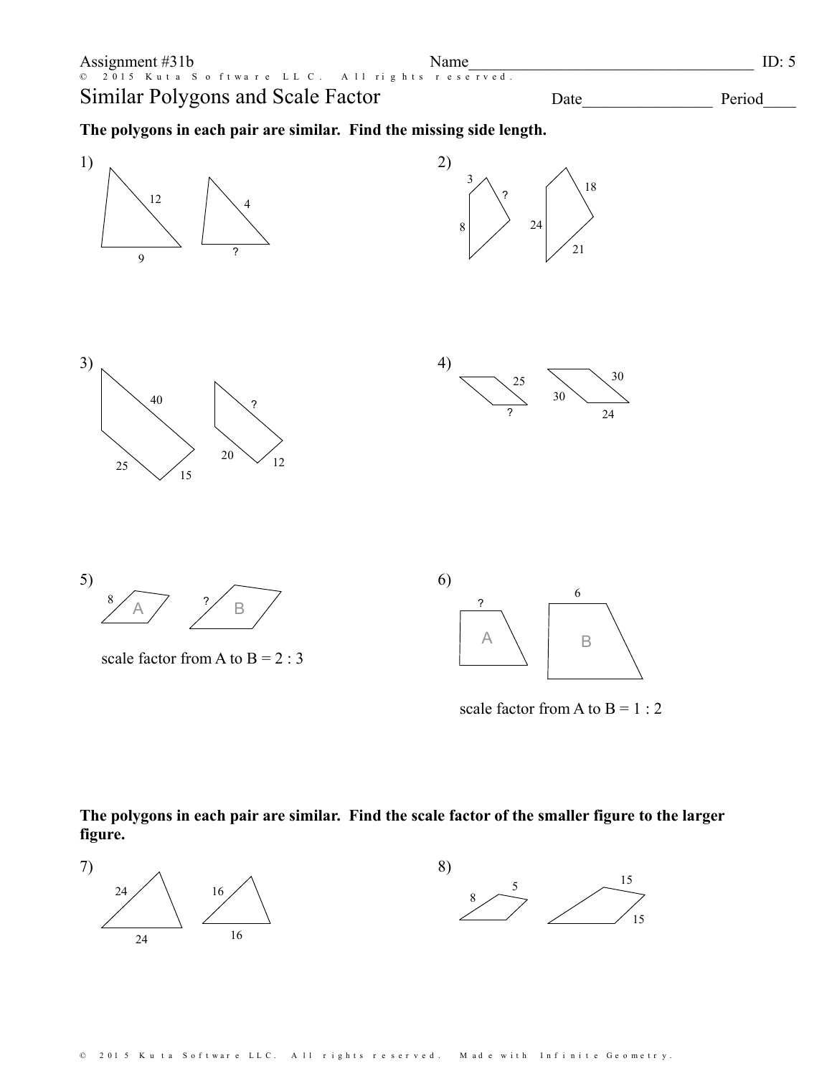